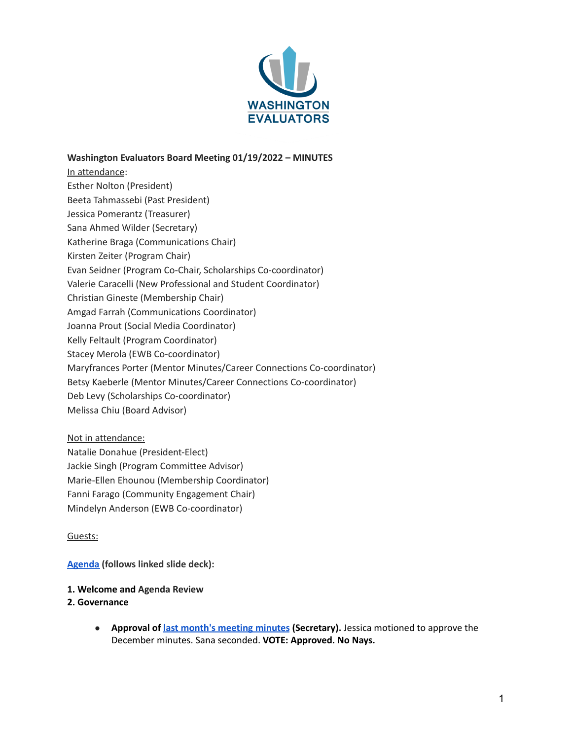

#### **Washington Evaluators Board Meeting 01/19/2022 – MINUTES**

In attendance: Esther Nolton (President) Beeta Tahmassebi (Past President) Jessica Pomerantz (Treasurer) Sana Ahmed Wilder (Secretary) Katherine Braga (Communications Chair) Kirsten Zeiter (Program Chair) Evan Seidner (Program Co-Chair, Scholarships Co-coordinator) Valerie Caracelli (New Professional and Student Coordinator) Christian Gineste (Membership Chair) Amgad Farrah (Communications Coordinator) Joanna Prout (Social Media Coordinator) Kelly Feltault (Program Coordinator) Stacey Merola (EWB Co-coordinator) Maryfrances Porter (Mentor Minutes/Career Connections Co-coordinator) Betsy Kaeberle (Mentor Minutes/Career Connections Co-coordinator) Deb Levy (Scholarships Co-coordinator) Melissa Chiu (Board Advisor)

Not in attendance: Natalie Donahue (President-Elect) Jackie Singh (Program Committee Advisor) Marie-Ellen Ehounou (Membership Coordinator) Fanni Farago (Community Engagement Chair) Mindelyn Anderson (EWB Co-coordinator)

Guests:

**[Agenda](https://docs.google.com/presentation/d/1SD60IQeyBUUWmUbA4LLqfHdnhsVRh4h93na0qUAEHc8/edit) (follows linked slide deck):**

- **1. Welcome and Agenda Review**
- **2. Governance**
	- **● Approval of last month's [meeting](https://washingtonevaluators.org/resources/Documents/BoardMinutes/2021/WE_Board_Meeting_20211117.pdf) minutes (Secretary).** Jessica motioned to approve the December minutes. Sana seconded. **VOTE: Approved. No Nays.**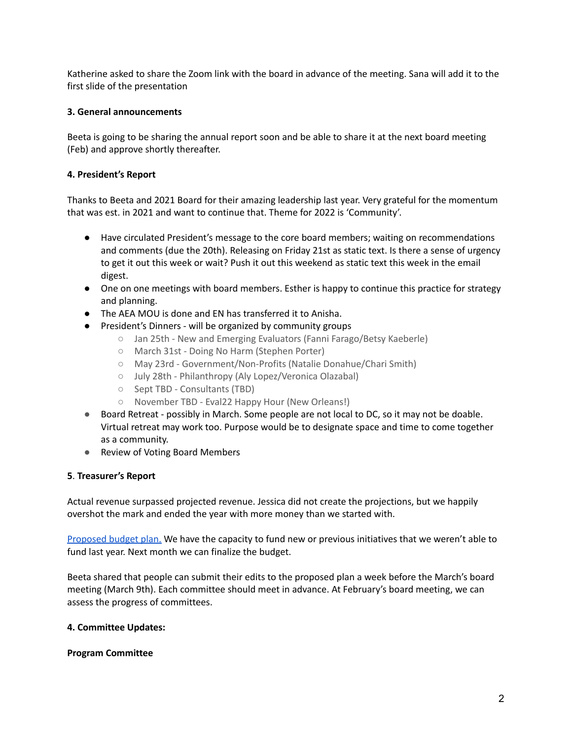Katherine asked to share the Zoom link with the board in advance of the meeting. Sana will add it to the first slide of the presentation

# **3. General announcements**

Beeta is going to be sharing the annual report soon and be able to share it at the next board meeting (Feb) and approve shortly thereafter.

# **4. President's Report**

Thanks to Beeta and 2021 Board for their amazing leadership last year. Very grateful for the momentum that was est. in 2021 and want to continue that. Theme for 2022 is 'Community'.

- Have circulated President's message to the core board members; waiting on recommendations and comments (due the 20th). Releasing on Friday 21st as static text. Is there a sense of urgency to get it out this week or wait? Push it out this weekend as static text this week in the email digest.
- One on one meetings with board members. Esther is happy to continue this practice for strategy and planning.
- The AEA MOU is done and EN has transferred it to Anisha.
- President's Dinners will be organized by community groups
	- Jan 25th New and Emerging Evaluators (Fanni Farago/Betsy Kaeberle)
	- March 31st Doing No Harm (Stephen Porter)
	- May 23rd Government/Non-Profits (Natalie Donahue/Chari Smith)
	- July 28th Philanthropy (Aly Lopez/Veronica Olazabal)
	- Sept TBD Consultants (TBD)
	- November TBD Eval22 Happy Hour (New Orleans!)
- Board Retreat possibly in March. Some people are not local to DC, so it may not be doable. Virtual retreat may work too. Purpose would be to designate space and time to come together as a community.
- Review of Voting Board Members

### **5**. **Treasurer's Report**

Actual revenue surpassed projected revenue. Jessica did not create the projections, but we happily overshot the mark and ended the year with more money than we started with.

[Proposed](https://docs.google.com/spreadsheets/d/1KWD9-UGWpoTihka6ZMLSOcd-bvplc0Cf/edit?usp=sharing&ouid=109530745676260454128&rtpof=true&sd=true) budget plan. We have the capacity to fund new or previous initiatives that we weren't able to fund last year. Next month we can finalize the budget.

Beeta shared that people can submit their edits to the proposed plan a week before the March's board meeting (March 9th). Each committee should meet in advance. At February's board meeting, we can assess the progress of committees.

### **4. Committee Updates:**

### **Program Committee**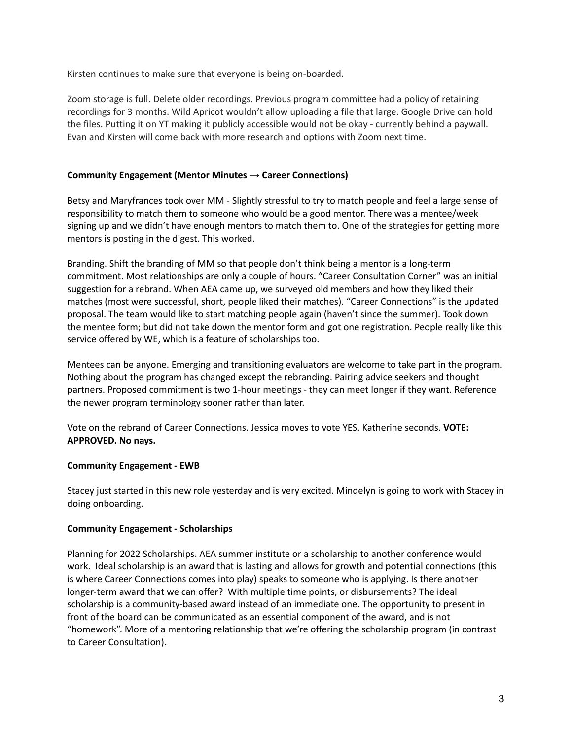Kirsten continues to make sure that everyone is being on-boarded.

Zoom storage is full. Delete older recordings. Previous program committee had a policy of retaining recordings for 3 months. Wild Apricot wouldn't allow uploading a file that large. Google Drive can hold the files. Putting it on YT making it publicly accessible would not be okay - currently behind a paywall. Evan and Kirsten will come back with more research and options with Zoom next time.

## **Community Engagement (Mentor Minutes → Career Connections)**

Betsy and Maryfrances took over MM - Slightly stressful to try to match people and feel a large sense of responsibility to match them to someone who would be a good mentor. There was a mentee/week signing up and we didn't have enough mentors to match them to. One of the strategies for getting more mentors is posting in the digest. This worked.

Branding. Shift the branding of MM so that people don't think being a mentor is a long-term commitment. Most relationships are only a couple of hours. "Career Consultation Corner" was an initial suggestion for a rebrand. When AEA came up, we surveyed old members and how they liked their matches (most were successful, short, people liked their matches). "Career Connections" is the updated proposal. The team would like to start matching people again (haven't since the summer). Took down the mentee form; but did not take down the mentor form and got one registration. People really like this service offered by WE, which is a feature of scholarships too.

Mentees can be anyone. Emerging and transitioning evaluators are welcome to take part in the program. Nothing about the program has changed except the rebranding. Pairing advice seekers and thought partners. Proposed commitment is two 1-hour meetings - they can meet longer if they want. Reference the newer program terminology sooner rather than later.

Vote on the rebrand of Career Connections. Jessica moves to vote YES. Katherine seconds. **VOTE: APPROVED. No nays.**

### **Community Engagement - EWB**

Stacey just started in this new role yesterday and is very excited. Mindelyn is going to work with Stacey in doing onboarding.

### **Community Engagement - Scholarships**

Planning for 2022 Scholarships. AEA summer institute or a scholarship to another conference would work. Ideal scholarship is an award that is lasting and allows for growth and potential connections (this is where Career Connections comes into play) speaks to someone who is applying. Is there another longer-term award that we can offer? With multiple time points, or disbursements? The ideal scholarship is a community-based award instead of an immediate one. The opportunity to present in front of the board can be communicated as an essential component of the award, and is not "homework". More of a mentoring relationship that we're offering the scholarship program (in contrast to Career Consultation).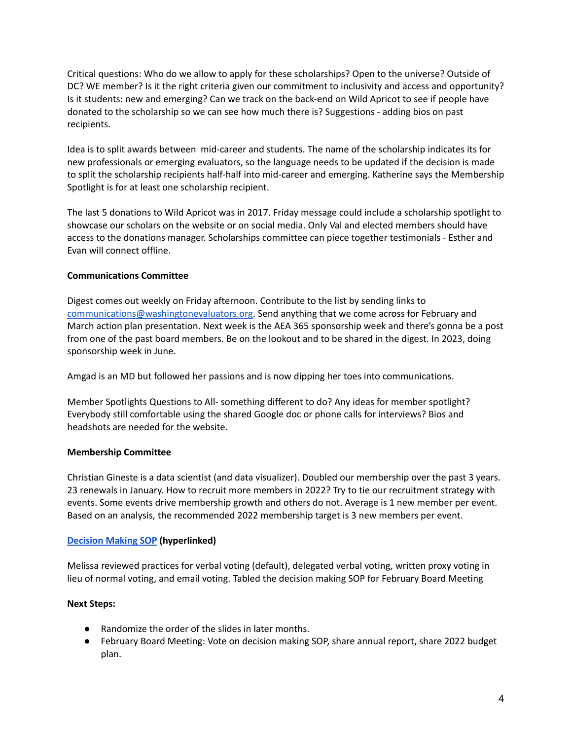Critical questions: Who do we allow to apply for these scholarships? Open to the universe? Outside of DC? WE member? Is it the right criteria given our commitment to inclusivity and access and opportunity? Is it students: new and emerging? Can we track on the back-end on Wild Apricot to see if people have donated to the scholarship so we can see how much there is? Suggestions - adding bios on past recipients.

Idea is to split awards between mid-career and students. The name of the scholarship indicates its for new professionals or emerging evaluators, so the language needs to be updated if the decision is made to split the scholarship recipients half-half into mid-career and emerging. Katherine says the Membership Spotlight is for at least one scholarship recipient.

The last 5 donations to Wild Apricot was in 2017. Friday message could include a scholarship spotlight to showcase our scholars on the website or on social media. Only Val and elected members should have access to the donations manager. Scholarships committee can piece together testimonials - Esther and Evan will connect offline.

# **Communications Committee**

Digest comes out weekly on Friday afternoon. Contribute to the list by sending links to [communications@washingtonevaluators.org.](mailto:communications@we.org) Send anything that we come across for February and March action plan presentation. Next week is the AEA 365 sponsorship week and there's gonna be a post from one of the past board members. Be on the lookout and to be shared in the digest. In 2023, doing sponsorship week in June.

Amgad is an MD but followed her passions and is now dipping her toes into communications.

Member Spotlights Questions to All- something different to do? Any ideas for member spotlight? Everybody still comfortable using the shared Google doc or phone calls for interviews? Bios and headshots are needed for the website.

### **Membership Committee**

Christian Gineste is a data scientist (and data visualizer). Doubled our membership over the past 3 years. 23 renewals in January. How to recruit more members in 2022? Try to tie our recruitment strategy with events. Some events drive membership growth and others do not. Average is 1 new member per event. Based on an analysis, the recommended 2022 membership target is 3 new members per event.

### **[Decision](https://docs.google.com/file/d/1Y6ObnRoXO7sGROvUpkhlyMrQyx8QGFqS/edit?usp=docslist_api&filetype=msword) Making SOP (hyperlinked)**

Melissa reviewed practices for verbal voting (default), delegated verbal voting, written proxy voting in lieu of normal voting, and email voting. Tabled the decision making SOP for February Board Meeting

### **Next Steps:**

- Randomize the order of the slides in later months.
- February Board Meeting: Vote on decision making SOP, share annual report, share 2022 budget plan.